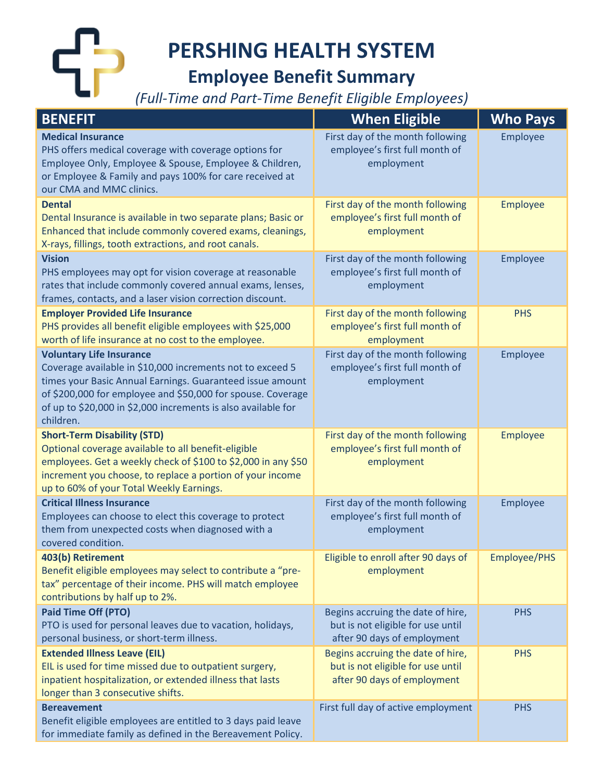**PERSHING HEALTH SYSTEM**

## **Employee Benefit Summary**

*(Full-Time and Part-Time Benefit Eligible Employees)*

| <b>BENEFIT</b>                                                                                                                                                                                                                     | <b>When Eligible</b>                                                             | <b>Who Pays</b> |
|------------------------------------------------------------------------------------------------------------------------------------------------------------------------------------------------------------------------------------|----------------------------------------------------------------------------------|-----------------|
| <b>Medical Insurance</b><br>PHS offers medical coverage with coverage options for<br>Employee Only, Employee & Spouse, Employee & Children,<br>or Employee & Family and pays 100% for care received at<br>our CMA and MMC clinics. | First day of the month following<br>employee's first full month of<br>employment | Employee        |
| <b>Dental</b>                                                                                                                                                                                                                      | First day of the month following                                                 | Employee        |
| Dental Insurance is available in two separate plans; Basic or<br>Enhanced that include commonly covered exams, cleanings,<br>X-rays, fillings, tooth extractions, and root canals.                                                 | employee's first full month of<br>employment                                     |                 |
| <b>Vision</b>                                                                                                                                                                                                                      | First day of the month following                                                 | Employee        |
| PHS employees may opt for vision coverage at reasonable<br>rates that include commonly covered annual exams, lenses,<br>frames, contacts, and a laser vision correction discount.                                                  | employee's first full month of<br>employment                                     |                 |
| <b>Employer Provided Life Insurance</b>                                                                                                                                                                                            | First day of the month following                                                 | <b>PHS</b>      |
| PHS provides all benefit eligible employees with \$25,000<br>worth of life insurance at no cost to the employee.                                                                                                                   | employee's first full month of<br>employment                                     |                 |
| <b>Voluntary Life Insurance</b>                                                                                                                                                                                                    | First day of the month following                                                 | Employee        |
| Coverage available in \$10,000 increments not to exceed 5                                                                                                                                                                          | employee's first full month of                                                   |                 |
| times your Basic Annual Earnings. Guaranteed issue amount<br>of \$200,000 for employee and \$50,000 for spouse. Coverage                                                                                                           | employment                                                                       |                 |
| of up to \$20,000 in \$2,000 increments is also available for                                                                                                                                                                      |                                                                                  |                 |
| children.                                                                                                                                                                                                                          |                                                                                  |                 |
| <b>Short-Term Disability (STD)</b>                                                                                                                                                                                                 | First day of the month following                                                 | Employee        |
| Optional coverage available to all benefit-eligible                                                                                                                                                                                | employee's first full month of                                                   |                 |
| employees. Get a weekly check of \$100 to \$2,000 in any \$50                                                                                                                                                                      | employment                                                                       |                 |
| increment you choose, to replace a portion of your income                                                                                                                                                                          |                                                                                  |                 |
| up to 60% of your Total Weekly Earnings.<br><b>Critical Illness Insurance</b>                                                                                                                                                      | First day of the month following                                                 | Employee        |
| Employees can choose to elect this coverage to protect                                                                                                                                                                             | employee's first full month of                                                   |                 |
| them from unexpected costs when diagnosed with a                                                                                                                                                                                   | employment                                                                       |                 |
| covered condition.                                                                                                                                                                                                                 |                                                                                  |                 |
| 403(b) Retirement                                                                                                                                                                                                                  | Eligible to enroll after 90 days of                                              | Employee/PHS    |
| Benefit eligible employees may select to contribute a "pre-                                                                                                                                                                        | employment                                                                       |                 |
| tax" percentage of their income. PHS will match employee<br>contributions by half up to 2%.                                                                                                                                        |                                                                                  |                 |
| <b>Paid Time Off (PTO)</b>                                                                                                                                                                                                         | Begins accruing the date of hire,                                                | <b>PHS</b>      |
| PTO is used for personal leaves due to vacation, holidays,                                                                                                                                                                         | but is not eligible for use until                                                |                 |
| personal business, or short-term illness.                                                                                                                                                                                          | after 90 days of employment                                                      |                 |
| <b>Extended Illness Leave (EIL)</b>                                                                                                                                                                                                | Begins accruing the date of hire,                                                | <b>PHS</b>      |
| EIL is used for time missed due to outpatient surgery,                                                                                                                                                                             | but is not eligible for use until                                                |                 |
| inpatient hospitalization, or extended illness that lasts                                                                                                                                                                          | after 90 days of employment                                                      |                 |
| longer than 3 consecutive shifts.<br><b>Bereavement</b>                                                                                                                                                                            | First full day of active employment                                              | <b>PHS</b>      |
| Benefit eligible employees are entitled to 3 days paid leave                                                                                                                                                                       |                                                                                  |                 |
| for immediate family as defined in the Bereavement Policy.                                                                                                                                                                         |                                                                                  |                 |